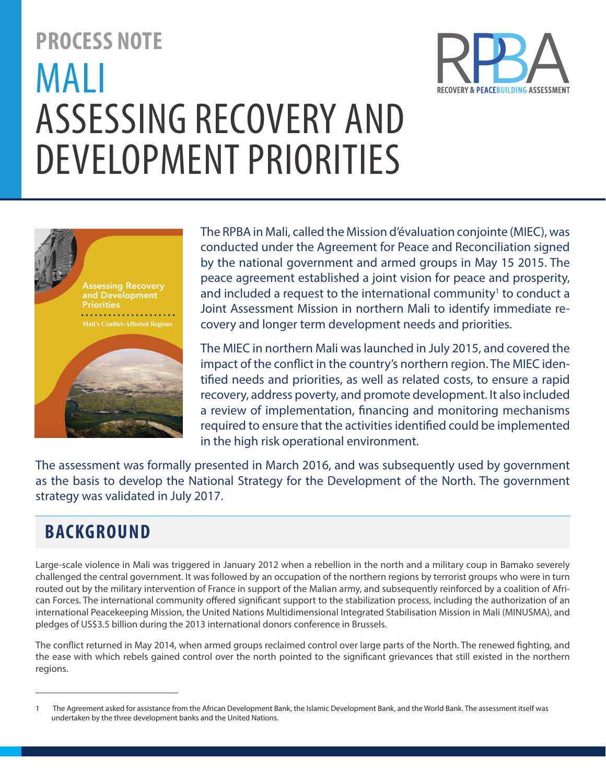# **PROCESS NOTE** MALI ASSESSING RECOVERY AND DEVELOPMENT PRIORITIES





The RPBA in Mali, called the Mission d'évaluation conjointe (MIEC), was conducted under the Agreement for Peace and Reconciliation signed by the national government and armed groups in May 15 2015. The peace agreement established a joint vision for peace and prosperity, and included a request to the international community<sup>1</sup> to conduct a Joint Assessment Mission in northern Mali to identify immediate recovery and longer term development needs and priorities.

The MIEC in northern Mali was launched in July 2015, and covered the impact of the conflict in the country's northern region. The MIEC identified needs and priorities, as well as related costs, to ensure a rapid recovery, address poverty, and promote development. It also included a review of implementation, financing and monitoring mechanisms required to ensure that the activities identified could be implemented in the high risk operational environment.

The assessment was formally presented in March 2016, and was subsequently used by government as the basis to develop the National Strategy for the Development of the North. The government strategy was validated in July 2017.

## **BACKGROUND**

Large-scale violence in Mali was triggered in January 2012 when a rebellion in the north and a military coup in Bamako severely challenged the central government. It was followed by an occupation of the northern regions by terrorist groups who were in turn routed out by the military intervention of France in support of the Malian army, and subsequently reinforced by a coalition of African Forces. The international community offered significant support to the stabilization process, including the authorization of an international Peacekeeping Mission, the United Nations Multidimensional Integrated Stabilisation Mission in Mali (MINUSMA), and pledges of US\$3.5 billion during the 2013 international donors conference in Brussels.

The conflict returned in May 2014, when armed groups reclaimed control over large parts of the North. The renewed fighting, and the ease with which rebels gained control over the north pointed to the significant grievances that still existed in the northern regions.

<sup>1</sup> The Agreement asked for assistance from the African Development Bank, the Islamic Development Bank, and the World Bank. The assessment itself was undertaken by the three development banks and the United Nations.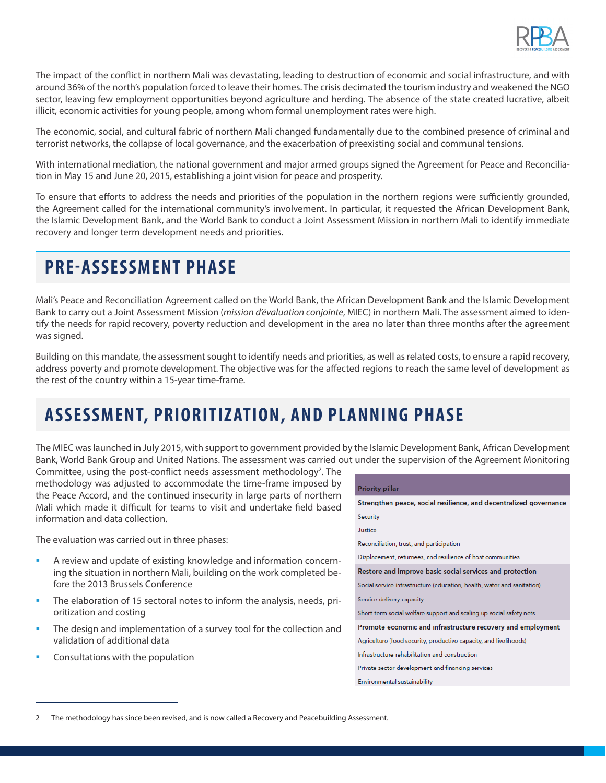

The impact of the conflict in northern Mali was devastating, leading to destruction of economic and social infrastructure, and with around 36% of the north's population forced to leave their homes. The crisis decimated the tourism industry and weakened the NGO sector, leaving few employment opportunities beyond agriculture and herding. The absence of the state created lucrative, albeit illicit, economic activities for young people, among whom formal unemployment rates were high.

The economic, social, and cultural fabric of northern Mali changed fundamentally due to the combined presence of criminal and terrorist networks, the collapse of local governance, and the exacerbation of preexisting social and communal tensions.

With international mediation, the national government and major armed groups signed the Agreement for Peace and Reconciliation in May 15 and June 20, 2015, establishing a joint vision for peace and prosperity.

To ensure that efforts to address the needs and priorities of the population in the northern regions were sufficiently grounded, the Agreement called for the international community's involvement. In particular, it requested the African Development Bank, the Islamic Development Bank, and the World Bank to conduct a Joint Assessment Mission in northern Mali to identify immediate recovery and longer term development needs and priorities.

## **PRE-ASSESSMENT PHASE**

Mali's Peace and Reconciliation Agreement called on the World Bank, the African Development Bank and the Islamic Development Bank to carry out a Joint Assessment Mission (*mission d'évaluation conjointe*, MIEC) in northern Mali. The assessment aimed to identify the needs for rapid recovery, poverty reduction and development in the area no later than three months after the agreement was signed.

Building on this mandate, the assessment sought to identify needs and priorities, as well as related costs, to ensure a rapid recovery, address poverty and promote development. The objective was for the affected regions to reach the same level of development as the rest of the country within a 15-year time-frame.

# **ASSESSMENT, PRIORITIZ ATION, AND PLANNING PHASE**

The MIEC was launched in July 2015, with support to government provided by the Islamic Development Bank, African Development Bank, World Bank Group and United Nations. The assessment was carried out under the supervision of the Agreement Monitoring

Committee, using the post-conflict needs assessment methodology<sup>2</sup>. The methodology was adjusted to accommodate the time-frame imposed by the Peace Accord, and the continued insecurity in large parts of northern Mali which made it difficult for teams to visit and undertake field based information and data collection.

The evaluation was carried out in three phases:

- § A review and update of existing knowledge and information concerning the situation in northern Mali, building on the work completed before the 2013 Brussels Conference
- The elaboration of 15 sectoral notes to inform the analysis, needs, prioritization and costing
- The design and implementation of a survey tool for the collection and validation of additional data
- § Consultations with the population

| <b>Priority pillar</b>                                                  |
|-------------------------------------------------------------------------|
| Strengthen peace, social resilience, and decentralized governance       |
| Security                                                                |
| Justice                                                                 |
| Reconciliation, trust, and participation                                |
| Displacement, returnees, and resilience of host communities             |
| Restore and improve basic social services and protection                |
| Social service infrastructure (education, health, water and sanitation) |
| Service delivery capacity                                               |
| Short-term social welfare support and scaling up social safety nets     |
| Promote economic and infrastructure recovery and employment             |
| Agriculture (food security, productive capacity, and livelihoods)       |
| Infrastructure rehabilitation and construction                          |
| Private sector development and financing services                       |
| Environmental sustainability                                            |
|                                                                         |

<sup>2</sup> The methodology has since been revised, and is now called a Recovery and Peacebuilding Assessment.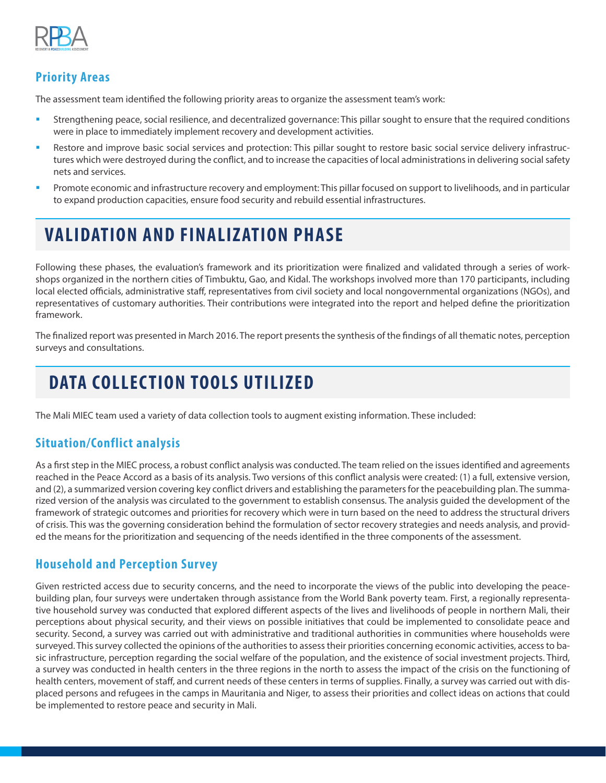

#### **Priority Areas**

The assessment team identified the following priority areas to organize the assessment team's work:

- **•** Strengthening peace, social resilience, and decentralized governance: This pillar sought to ensure that the required conditions were in place to immediately implement recovery and development activities.
- **•** Restore and improve basic social services and protection: This pillar sought to restore basic social service delivery infrastructures which were destroyed during the conflict, and to increase the capacities of local administrations in delivering social safety nets and services.
- § Promote economic and infrastructure recovery and employment: This pillar focused on support to livelihoods, and in particular to expand production capacities, ensure food security and rebuild essential infrastructures.

# **VALIDATION AND FINALIZATION PHASE**

Following these phases, the evaluation's framework and its prioritization were finalized and validated through a series of workshops organized in the northern cities of Timbuktu, Gao, and Kidal. The workshops involved more than 170 participants, including local elected officials, administrative staff, representatives from civil society and local nongovernmental organizations (NGOs), and representatives of customary authorities. Their contributions were integrated into the report and helped define the prioritization framework.

The finalized report was presented in March 2016. The report presents the synthesis of the findings of all thematic notes, perception surveys and consultations.

# **DATA COLLECTION TOOLS UTILIZED**

The Mali MIEC team used a variety of data collection tools to augment existing information. These included:

#### **Situation/Conflict analysis**

As a first step in the MIEC process, a robust conflict analysis was conducted. The team relied on the issues identified and agreements reached in the Peace Accord as a basis of its analysis. Two versions of this conflict analysis were created: (1) a full, extensive version, and (2), a summarized version covering key conflict drivers and establishing the parameters for the peacebuilding plan. The summarized version of the analysis was circulated to the government to establish consensus. The analysis guided the development of the framework of strategic outcomes and priorities for recovery which were in turn based on the need to address the structural drivers of crisis. This was the governing consideration behind the formulation of sector recovery strategies and needs analysis, and provided the means for the prioritization and sequencing of the needs identified in the three components of the assessment.

#### **Household and Perception Survey**

Given restricted access due to security concerns, and the need to incorporate the views of the public into developing the peacebuilding plan, four surveys were undertaken through assistance from the World Bank poverty team. First, a regionally representative household survey was conducted that explored different aspects of the lives and livelihoods of people in northern Mali, their perceptions about physical security, and their views on possible initiatives that could be implemented to consolidate peace and security. Second, a survey was carried out with administrative and traditional authorities in communities where households were surveyed. This survey collected the opinions of the authorities to assess their priorities concerning economic activities, access to basic infrastructure, perception regarding the social welfare of the population, and the existence of social investment projects. Third, a survey was conducted in health centers in the three regions in the north to assess the impact of the crisis on the functioning of health centers, movement of staff, and current needs of these centers in terms of supplies. Finally, a survey was carried out with displaced persons and refugees in the camps in Mauritania and Niger, to assess their priorities and collect ideas on actions that could be implemented to restore peace and security in Mali.